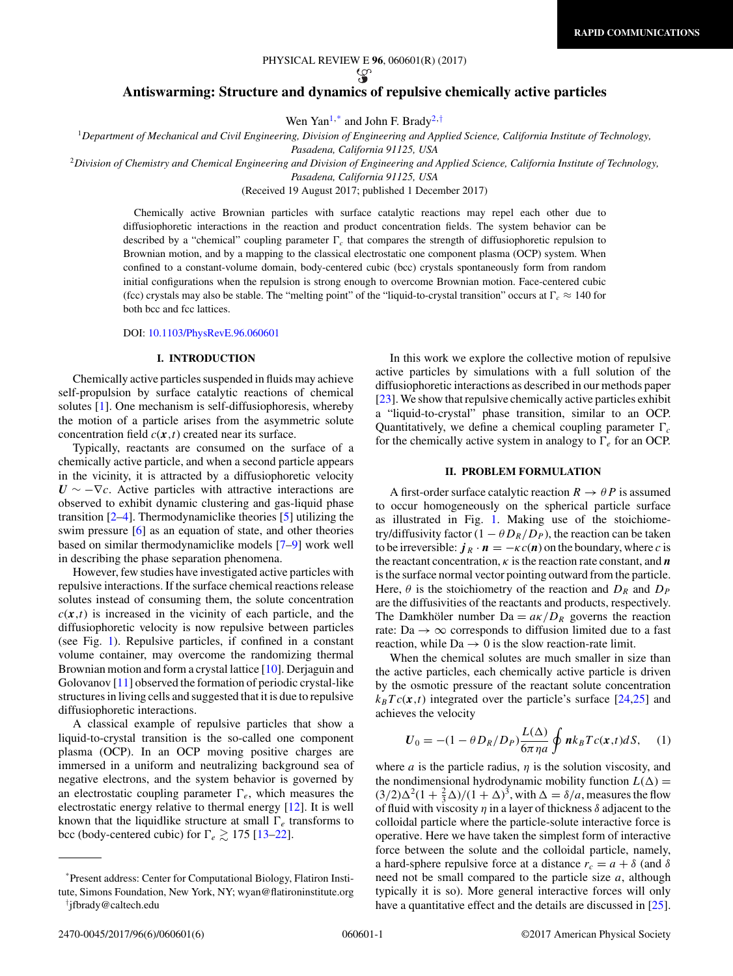### PHYSICAL REVIEW E **96**, 060601(R) (2017)

 $\mathscr{D}$ 

# <span id="page-0-0"></span>**Antiswarming: Structure and dynamics of repulsive chemically active particles**

Wen Yan<sup>1,\*</sup> and John F. Brady<sup>2,†</sup>

<sup>1</sup>*Department of Mechanical and Civil Engineering, Division of Engineering and Applied Science, California Institute of Technology,*

*Pasadena, California 91125, USA*

<sup>2</sup>*Division of Chemistry and Chemical Engineering and Division of Engineering and Applied Science, California Institute of Technology,*

*Pasadena, California 91125, USA*

(Received 19 August 2017; published 1 December 2017)

Chemically active Brownian particles with surface catalytic reactions may repel each other due to diffusiophoretic interactions in the reaction and product concentration fields. The system behavior can be described by a "chemical" coupling parameter  $\Gamma_c$  that compares the strength of diffusiophoretic repulsion to Brownian motion, and by a mapping to the classical electrostatic one component plasma (OCP) system. When confined to a constant-volume domain, body-centered cubic (bcc) crystals spontaneously form from random initial configurations when the repulsion is strong enough to overcome Brownian motion. Face-centered cubic (fcc) crystals may also be stable. The "melting point" of the "liquid-to-crystal transition" occurs at  $\Gamma_c \approx 140$  for both bcc and fcc lattices.

DOI: [10.1103/PhysRevE.96.060601](https://doi.org/10.1103/PhysRevE.96.060601)

### **I. INTRODUCTION**

Chemically active particles suspended in fluids may achieve self-propulsion by surface catalytic reactions of chemical solutes [\[1\]](#page-4-0). One mechanism is self-diffusiophoresis, whereby the motion of a particle arises from the asymmetric solute concentration field  $c(x,t)$  created near its surface.

Typically, reactants are consumed on the surface of a chemically active particle, and when a second particle appears in the vicinity, it is attracted by a diffusiophoretic velocity  $U \sim -\nabla c$ . Active particles with attractive interactions are observed to exhibit dynamic clustering and gas-liquid phase transition [\[2–4\]](#page-4-0). Thermodynamiclike theories [\[5\]](#page-4-0) utilizing the swim pressure [\[6\]](#page-4-0) as an equation of state, and other theories based on similar thermodynamiclike models [\[7–9\]](#page-4-0) work well in describing the phase separation phenomena.

However, few studies have investigated active particles with repulsive interactions. If the surface chemical reactions release solutes instead of consuming them, the solute concentration  $c(x,t)$  is increased in the vicinity of each particle, and the diffusiophoretic velocity is now repulsive between particles (see Fig. [1\)](#page-1-0). Repulsive particles, if confined in a constant volume container, may overcome the randomizing thermal Brownian motion and form a crystal lattice [\[10\]](#page-4-0). Derjaguin and Golovanov [\[11\]](#page-4-0) observed the formation of periodic crystal-like structures in living cells and suggested that it is due to repulsive diffusiophoretic interactions.

A classical example of repulsive particles that show a liquid-to-crystal transition is the so-called one component plasma (OCP). In an OCP moving positive charges are immersed in a uniform and neutralizing background sea of negative electrons, and the system behavior is governed by an electrostatic coupling parameter  $\Gamma_e$ , which measures the electrostatic energy relative to thermal energy [\[12\]](#page-4-0). It is well known that the liquidlike structure at small  $\Gamma_e$  transforms to bcc (body-centered cubic) for  $\Gamma_e \gtrsim 175$  [\[13–22\]](#page-4-0).

In this work we explore the collective motion of repulsive active particles by simulations with a full solution of the diffusiophoretic interactions as described in our methods paper [\[23\]](#page-4-0). We show that repulsive chemically active particles exhibit a "liquid-to-crystal" phase transition, similar to an OCP. Quantitatively, we define a chemical coupling parameter  $\Gamma_c$ for the chemically active system in analogy to  $\Gamma_e$  for an OCP.

## **II. PROBLEM FORMULATION**

A first-order surface catalytic reaction  $R \to \theta P$  is assumed to occur homogeneously on the spherical particle surface as illustrated in Fig. [1.](#page-1-0) Making use of the stoichiometry/diffusivity factor  $(1 - \theta D_R/D_P)$ , the reaction can be taken to be irreversible:  $j_R \cdot n = -\kappa c(n)$  on the boundary, where *c* is the reactant concentration,  $\kappa$  is the reaction rate constant, and  $\boldsymbol{n}$ is the surface normal vector pointing outward from the particle. Here,  $\theta$  is the stoichiometry of the reaction and  $D_R$  and  $D_P$ are the diffusivities of the reactants and products, respectively. The Damkhöler number  $Da = a\kappa/D_R$  governs the reaction rate: Da  $\rightarrow \infty$  corresponds to diffusion limited due to a fast reaction, while  $Da \rightarrow 0$  is the slow reaction-rate limit.

When the chemical solutes are much smaller in size than the active particles, each chemically active particle is driven by the osmotic pressure of the reactant solute concentration  $k_B T c(x,t)$  integrated over the particle's surface  $[24,25]$  and achieves the velocity

$$
U_0 = -(1 - \theta D_R/D_P) \frac{L(\Delta)}{6\pi \eta a} \oint n k_B T c(\mathbf{x}, t) dS, \quad (1)
$$

where *a* is the particle radius,  $\eta$  is the solution viscosity, and the nondimensional hydrodynamic mobility function  $L(\Delta)$  =  $(3/2)\Delta^2(1+\frac{2}{3}\Delta)/(1+\Delta)^3$ , with  $\Delta = \delta/a$ , measures the flow of fluid with viscosity *η* in a layer of thickness *δ* adjacent to the colloidal particle where the particle-solute interactive force is operative. Here we have taken the simplest form of interactive force between the solute and the colloidal particle, namely, a hard-sphere repulsive force at a distance  $r_c = a + \delta$  (and  $\delta$ ) need not be small compared to the particle size *a*, although typically it is so). More general interactive forces will only have a quantitative effect and the details are discussed in [\[25\]](#page-4-0).

<sup>\*</sup>Present address: Center for Computational Biology, Flatiron Institute, Simons Foundation, New York, NY; wyan@flatironinstitute.org † jfbrady@caltech.edu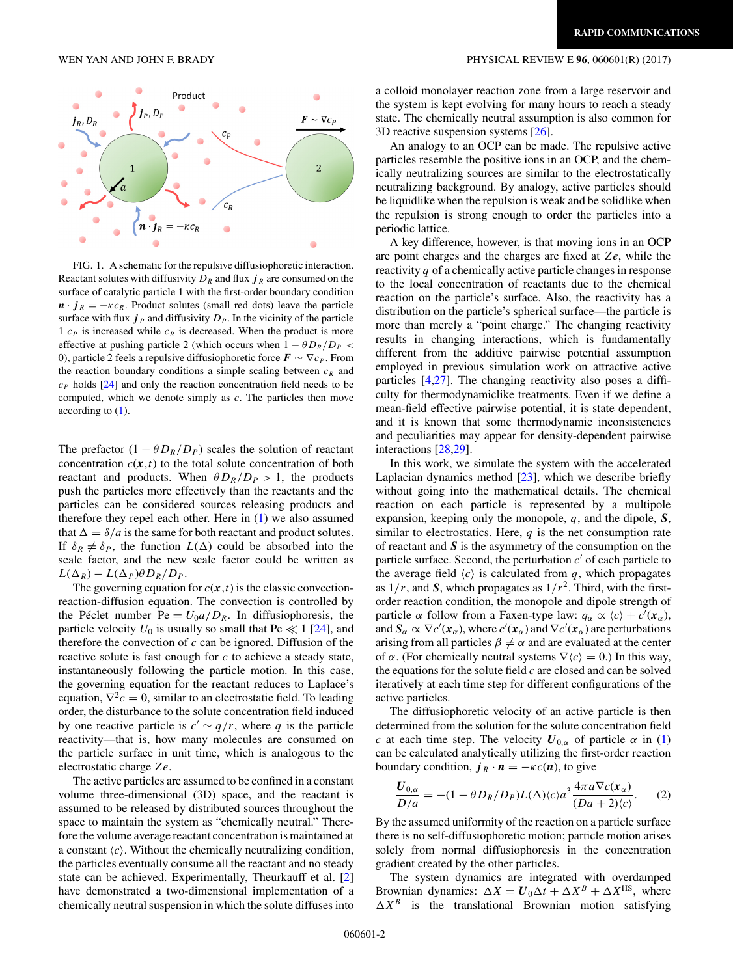<span id="page-1-0"></span>

FIG. 1. A schematic for the repulsive diffusiophoretic interaction. Reactant solutes with diffusivity  $D_R$  and flux  $j_R$  are consumed on the surface of catalytic particle 1 with the first-order boundary condition  $\boldsymbol{n} \cdot \boldsymbol{j}_R = -\kappa c_R$ . Product solutes (small red dots) leave the particle surface with flux  $j<sub>P</sub>$  and diffusivity  $D<sub>P</sub>$ . In the vicinity of the particle 1  $c_P$  is increased while  $c_R$  is decreased. When the product is more effective at pushing particle 2 (which occurs when  $1 - \theta D_R/D_P$  < 0), particle 2 feels a repulsive diffusiophoretic force  $\mathbf{F} \sim \nabla c_p$ . From the reaction boundary conditions a simple scaling between  $c_R$  and  $c_P$  holds  $[24]$  and only the reaction concentration field needs to be computed, which we denote simply as *c*. The particles then move according to [\(1\)](#page-0-0).

The prefactor  $(1 - \theta D_R/D_P)$  scales the solution of reactant concentration  $c(x,t)$  to the total solute concentration of both reactant and products. When  $\theta D_R/D_P > 1$ , the products push the particles more effectively than the reactants and the particles can be considered sources releasing products and therefore they repel each other. Here in  $(1)$  we also assumed that  $\Delta = \delta/a$  is the same for both reactant and product solutes. If  $\delta_R \neq \delta_P$ , the function  $L(\Delta)$  could be absorbed into the scale factor, and the new scale factor could be written as  $L(\Delta_R) - L(\Delta_P)\theta D_R/D_P$ .

The governing equation for  $c(\mathbf{x},t)$  is the classic convectionreaction-diffusion equation. The convection is controlled by the Péclet number  $Pe = U_0 a/D_R$ . In diffusiophoresis, the particle velocity  $U_0$  is usually so small that Pe  $\ll 1$  [\[24\]](#page-4-0), and therefore the convection of *c* can be ignored. Diffusion of the reactive solute is fast enough for *c* to achieve a steady state, instantaneously following the particle motion. In this case, the governing equation for the reactant reduces to Laplace's equation,  $\nabla^2 c = 0$ , similar to an electrostatic field. To leading order, the disturbance to the solute concentration field induced by one reactive particle is  $c' \sim q/r$ , where q is the particle reactivity—that is, how many molecules are consumed on the particle surface in unit time, which is analogous to the electrostatic charge *Ze*.

The active particles are assumed to be confined in a constant volume three-dimensional (3D) space, and the reactant is assumed to be released by distributed sources throughout the space to maintain the system as "chemically neutral." Therefore the volume average reactant concentration is maintained at a constant  $\langle c \rangle$ . Without the chemically neutralizing condition, the particles eventually consume all the reactant and no steady state can be achieved. Experimentally, Theurkauff et al. [\[2\]](#page-4-0) have demonstrated a two-dimensional implementation of a chemically neutral suspension in which the solute diffuses into

a colloid monolayer reaction zone from a large reservoir and the system is kept evolving for many hours to reach a steady state. The chemically neutral assumption is also common for 3D reactive suspension systems [\[26\]](#page-4-0).

An analogy to an OCP can be made. The repulsive active particles resemble the positive ions in an OCP, and the chemically neutralizing sources are similar to the electrostatically neutralizing background. By analogy, active particles should be liquidlike when the repulsion is weak and be solidlike when the repulsion is strong enough to order the particles into a periodic lattice.

A key difference, however, is that moving ions in an OCP are point charges and the charges are fixed at *Ze*, while the reactivity *q* of a chemically active particle changes in response to the local concentration of reactants due to the chemical reaction on the particle's surface. Also, the reactivity has a distribution on the particle's spherical surface—the particle is more than merely a "point charge." The changing reactivity results in changing interactions, which is fundamentally different from the additive pairwise potential assumption employed in previous simulation work on attractive active particles [\[4,27\]](#page-4-0). The changing reactivity also poses a difficulty for thermodynamiclike treatments. Even if we define a mean-field effective pairwise potential, it is state dependent, and it is known that some thermodynamic inconsistencies and peculiarities may appear for density-dependent pairwise interactions [\[28,29\]](#page-4-0).

In this work, we simulate the system with the accelerated Laplacian dynamics method [\[23\]](#page-4-0), which we describe briefly without going into the mathematical details. The chemical reaction on each particle is represented by a multipole expansion, keeping only the monopole, *q*, and the dipole, *S*, similar to electrostatics. Here, *q* is the net consumption rate of reactant and *S* is the asymmetry of the consumption on the particle surface. Second, the perturbation  $c'$  of each particle to the average field  $\langle c \rangle$  is calculated from  $q$ , which propagates as  $1/r$ , and *S*, which propagates as  $1/r<sup>2</sup>$ . Third, with the firstorder reaction condition, the monopole and dipole strength of particle  $\alpha$  follow from a Faxen-type law:  $q_{\alpha} \propto \langle c \rangle + c'(\mathbf{x}_{\alpha})$ , and  $S_\alpha \propto \nabla c'(\mathbf{x}_\alpha)$ , where  $c'(\mathbf{x}_\alpha)$  and  $\nabla c'(\mathbf{x}_\alpha)$  are perturbations arising from all particles  $\beta \neq \alpha$  and are evaluated at the center of  $\alpha$ . (For chemically neutral systems  $\nabla \langle c \rangle = 0$ .) In this way, the equations for the solute field *c* are closed and can be solved iteratively at each time step for different configurations of the active particles.

The diffusiophoretic velocity of an active particle is then determined from the solution for the solute concentration field *c* at each time step. The velocity  $U_{0,\alpha}$  of particle  $\alpha$  in [\(1\)](#page-0-0) can be calculated analytically utilizing the first-order reaction boundary condition,  $j_R \cdot n = -\kappa c(n)$ , to give

$$
\frac{U_{0,\alpha}}{D/a} = -(1 - \theta D_R/D_P)L(\Delta)\langle c\rangle a^3 \frac{4\pi a \nabla c(\mathbf{x}_{\alpha})}{(Da + 2)\langle c\rangle}.
$$
 (2)

By the assumed uniformity of the reaction on a particle surface there is no self-diffusiophoretic motion; particle motion arises solely from normal diffusiophoresis in the concentration gradient created by the other particles.

The system dynamics are integrated with overdamped Brownian dynamics:  $\Delta X = U_0 \Delta t + \Delta X^B + \Delta X^{HS}$ , where  $\Delta X^B$  is the translational Brownian motion satisfying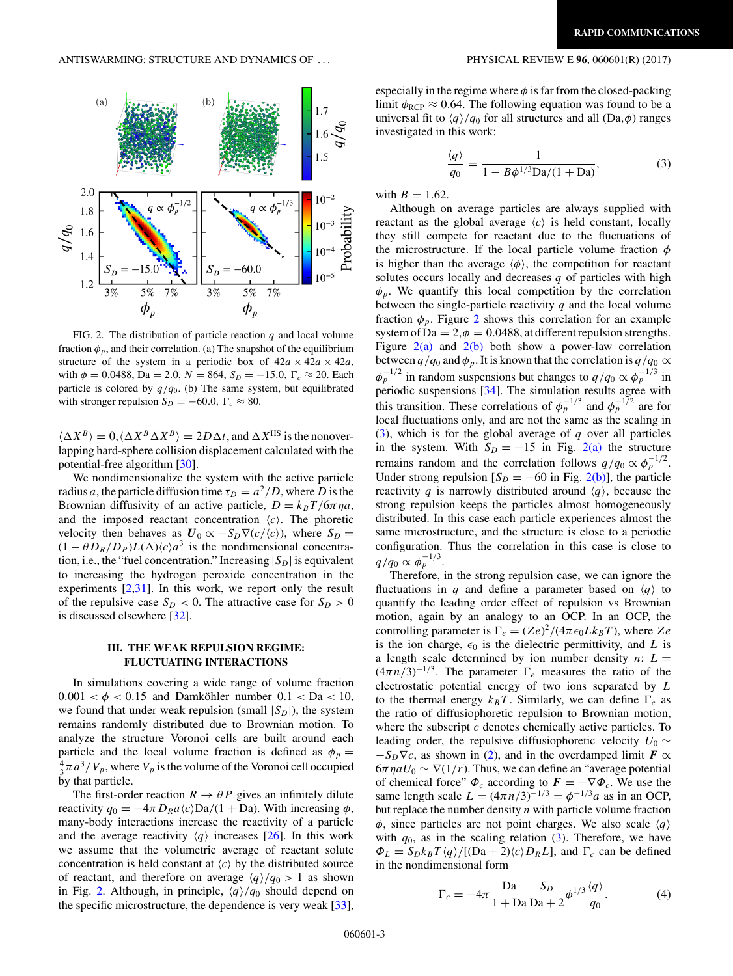

FIG. 2. The distribution of particle reaction *q* and local volume fraction  $\phi_p$ , and their correlation. (a) The snapshot of the equilibrium structure of the system in a periodic box of  $42a \times 42a \times 42a$ , with  $\phi = 0.0488$ , Da = 2.0,  $N = 864$ ,  $S_D = -15.0$ ,  $\Gamma_c \approx 20$ . Each particle is colored by  $q/q_0$ . (b) The same system, but equilibrated with stronger repulsion  $S_D = -60.0$ ,  $\Gamma_c \approx 80$ .

 $\langle \Delta X^B \rangle = 0, \langle \Delta X^B \Delta X^B \rangle = 2D\Delta t$ , and  $\Delta X^{HS}$  is the nonoverlapping hard-sphere collision displacement calculated with the potential-free algorithm [\[30\]](#page-4-0).

We nondimensionalize the system with the active particle radius *a*, the particle diffusion time  $\tau_D = a^2/D$ , where *D* is the Brownian diffusivity of an active particle,  $D = k_B T / 6 \pi \eta a$ , and the imposed reactant concentration  $\langle c \rangle$ . The phoretic velocity then behaves as  $U_0 \propto -S_D \nabla(c/\langle c \rangle)$ , where  $S_D =$  $(1 - \theta D_R/D_P)L(\Delta) \langle c \rangle a^3$  is the nondimensional concentration, i.e., the "fuel concentration." Increasing  $|S_D|$  is equivalent to increasing the hydrogen peroxide concentration in the experiments  $[2,31]$ . In this work, we report only the result of the repulsive case  $S_D < 0$ . The attractive case for  $S_D > 0$ is discussed elsewhere [\[32\]](#page-4-0).

## **III. THE WEAK REPULSION REGIME: FLUCTUATING INTERACTIONS**

In simulations covering a wide range of volume fraction 0.001  $< \phi < 0.15$  and Damköhler number  $0.1 <$  Da  $< 10$ , we found that under weak repulsion (small  $|S_D|$ ), the system remains randomly distributed due to Brownian motion. To analyze the structure Voronoi cells are built around each particle and the local volume fraction is defined as  $\phi_p =$  $\frac{4}{3}\pi a^3/V_p$ , where  $V_p$  is the volume of the Voronoi cell occupied by that particle.

The first-order reaction  $R \rightarrow \theta P$  gives an infinitely dilute reactivity  $q_0 = -4\pi D_R a \langle c \rangle \text{Da}/(1 + \text{Da})$ . With increasing  $\phi$ , many-body interactions increase the reactivity of a particle and the average reactivity  $\langle q \rangle$  increases [\[26\]](#page-4-0). In this work we assume that the volumetric average of reactant solute concentration is held constant at  $\langle c \rangle$  by the distributed source of reactant, and therefore on average  $\langle q \rangle / q_0 > 1$  as shown in Fig. 2. Although, in principle,  $\langle q \rangle / q_0$  should depend on the specific microstructure, the dependence is very weak [\[33\]](#page-4-0),

especially in the regime where  $\phi$  is far from the closed-packing limit  $\phi_{RCP} \approx 0.64$ . The following equation was found to be a universal fit to  $\langle q \rangle / q_0$  for all structures and all (Da, $\phi$ ) ranges investigated in this work:

$$
\frac{\langle q \rangle}{q_0} = \frac{1}{1 - B\phi^{1/3}Da/(1 + Da)},\tag{3}
$$

with  $B = 1.62$ .

Although on average particles are always supplied with reactant as the global average  $\langle c \rangle$  is held constant, locally they still compete for reactant due to the fluctuations of the microstructure. If the local particle volume fraction *φ* is higher than the average  $\langle \phi \rangle$ , the competition for reactant solutes occurs locally and decreases *q* of particles with high  $\phi_p$ . We quantify this local competition by the correlation between the single-particle reactivity *q* and the local volume fraction  $\phi_p$ . Figure 2 shows this correlation for an example system of Da =  $2, \phi = 0.0488$ , at different repulsion strengths. Figure  $2(a)$  and  $2(b)$  both show a power-law correlation between  $q/q_0$  and  $\phi_p$ . It is known that the correlation is  $q/q_0 \propto$  $\phi_p^{-1/2}$  in random suspensions but changes to  $q/q_0 \propto \phi_p^{-1/3}$  in periodic suspensions [\[34\]](#page-4-0). The simulation results agree with this transition. These correlations of  $\phi_p^{-1/3}$  and  $\phi_p^{-1/2}$  are for local fluctuations only, and are not the same as the scaling in (3), which is for the global average of *q* over all particles in the system. With  $S_D = -15$  in Fig. 2(a) the structure remains random and the correlation follows  $q/q_0 \propto \phi_p^{-1/2}$ . Under strong repulsion  $[S_D = -60$  in Fig. 2(b)], the particle reactivity q is narrowly distributed around  $\langle q \rangle$ , because the strong repulsion keeps the particles almost homogeneously distributed. In this case each particle experiences almost the same microstructure, and the structure is close to a periodic configuration. Thus the correlation in this case is close to  $q/q_0 \propto \phi_p^{-1/3}$ .

Therefore, in the strong repulsion case, we can ignore the fluctuations in *q* and define a parameter based on  $\langle q \rangle$  to quantify the leading order effect of repulsion vs Brownian motion, again by an analogy to an OCP. In an OCP, the controlling parameter is  $\Gamma_e = (Ze)^2/(4\pi\epsilon_0 Lk_BT)$ , where *Ze* is the ion charge,  $\epsilon_0$  is the dielectric permittivity, and *L* is a length scale determined by ion number density  $n: L =$  $(4\pi n/3)^{-1/3}$ . The parameter  $\Gamma_e$  measures the ratio of the electrostatic potential energy of two ions separated by *L* to the thermal energy  $k_B T$ . Similarly, we can define  $\Gamma_c$  as the ratio of diffusiophoretic repulsion to Brownian motion, where the subscript *c* denotes chemically active particles. To leading order, the repulsive diffusiophoretic velocity  $U_0 \sim$  $-S_D \nabla c$ , as shown in [\(2\)](#page-1-0), and in the overdamped limit *F*  $\propto$  $6\pi$  *naU*<sup>0</sup> ~  $\nabla$ (1/*r*). Thus, we can define an "average potential of chemical force"  $\Phi_c$  according to  $\mathbf{F} = -\nabla \Phi_c$ . We use the same length scale  $L = (4\pi n/3)^{-1/3} = \phi^{-1/3}a$  as in an OCP, but replace the number density *n* with particle volume fraction  $\phi$ , since particles are not point charges. We also scale  $\langle q \rangle$ with  $q_0$ , as in the scaling relation  $(3)$ . Therefore, we have  $\Phi_L = S_D k_B T \langle q \rangle / [(Da + 2) \langle c \rangle D_R L]$ , and  $\Gamma_c$  can be defined in the nondimensional form

$$
\Gamma_c = -4\pi \frac{\text{Da}}{1 + \text{Da}} \frac{S_D}{\text{Da} + 2} \phi^{1/3} \frac{\langle q \rangle}{q_0}.
$$
 (4)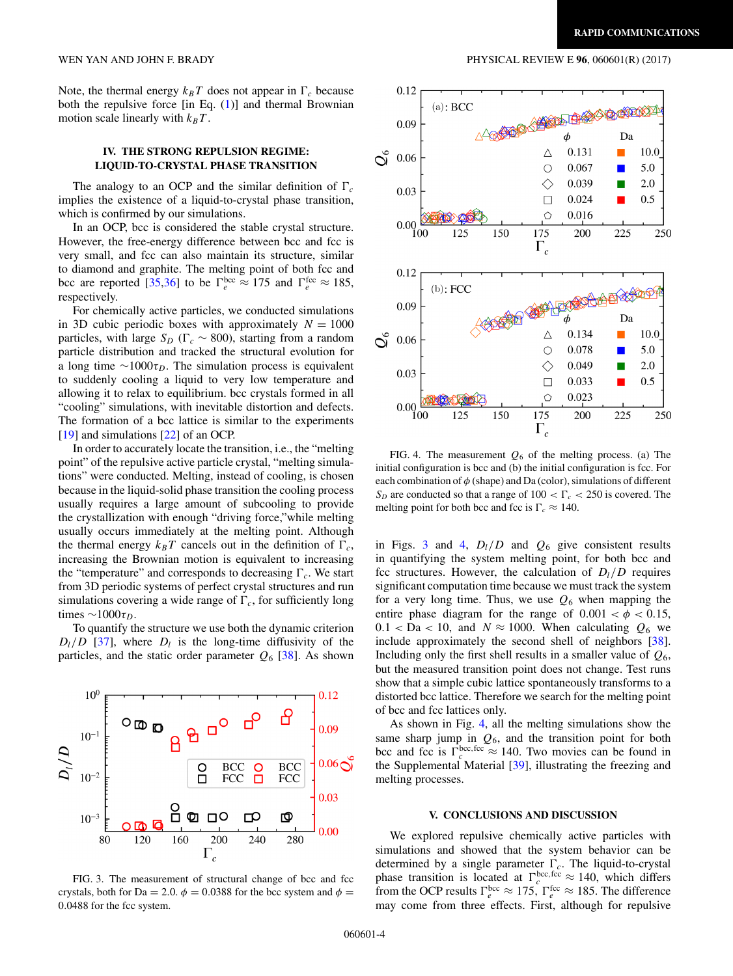Note, the thermal energy  $k_B T$  does not appear in  $\Gamma_c$  because both the repulsive force [in Eq.  $(1)$ ] and thermal Brownian motion scale linearly with  $k_B T$ .

# **IV. THE STRONG REPULSION REGIME: LIQUID-TO-CRYSTAL PHASE TRANSITION**

The analogy to an OCP and the similar definition of  $\Gamma_c$ implies the existence of a liquid-to-crystal phase transition, which is confirmed by our simulations.

In an OCP, bcc is considered the stable crystal structure. However, the free-energy difference between bcc and fcc is very small, and fcc can also maintain its structure, similar to diamond and graphite. The melting point of both fcc and bcc are reported [\[35,36\]](#page-4-0) to be  $\Gamma_e^{\text{bcc}} \approx 175$  and  $\Gamma_e^{\text{fcc}} \approx 185$ , respectively.

For chemically active particles, we conducted simulations in 3D cubic periodic boxes with approximately  $N = 1000$ particles, with large  $S_D$  ( $\Gamma_c \sim 800$ ), starting from a random particle distribution and tracked the structural evolution for a long time  $\sim$ 1000 $\tau_D$ . The simulation process is equivalent to suddenly cooling a liquid to very low temperature and allowing it to relax to equilibrium. bcc crystals formed in all "cooling" simulations, with inevitable distortion and defects. The formation of a bcc lattice is similar to the experiments [\[19\]](#page-4-0) and simulations [\[22\]](#page-4-0) of an OCP.

In order to accurately locate the transition, i.e., the "melting point" of the repulsive active particle crystal, "melting simulations" were conducted. Melting, instead of cooling, is chosen because in the liquid-solid phase transition the cooling process usually requires a large amount of subcooling to provide the crystallization with enough "driving force,"while melting usually occurs immediately at the melting point. Although the thermal energy  $k_B T$  cancels out in the definition of  $\Gamma_c$ , increasing the Brownian motion is equivalent to increasing the "temperature" and corresponds to decreasing  $\Gamma_c$ . We start from 3D periodic systems of perfect crystal structures and run simulations covering a wide range of  $\Gamma_c$ , for sufficiently long times  $\sim$ 1000 $\tau_D$ .

To quantify the structure we use both the dynamic criterion  $D_l/D$  [\[37\]](#page-5-0), where  $D_l$  is the long-time diffusivity of the particles, and the static order parameter  $Q_6$  [\[38\]](#page-5-0). As shown



FIG. 3. The measurement of structural change of bcc and fcc crystals, both for Da = 2.0.  $\phi$  = 0.0388 for the bcc system and  $\phi$  = 0*.*0488 for the fcc system.

WEN YAN AND JOHN F. BRADY PHYSICAL REVIEW E **96**, 060601(R) (2017)



FIG. 4. The measurement  $Q_6$  of the melting process. (a) The initial configuration is bcc and (b) the initial configuration is fcc. For each combination of  $\phi$  (shape) and Da (color), simulations of different  $S_D$  are conducted so that a range of  $100 < \Gamma_c < 250$  is covered. The melting point for both bcc and fcc is  $\Gamma_c \approx 140$ .

in Figs. 3 and 4,  $D_l/D$  and  $Q_6$  give consistent results in quantifying the system melting point, for both bcc and fcc structures. However, the calculation of  $D_l/D$  requires significant computation time because we must track the system for a very long time. Thus, we use  $Q_6$  when mapping the entire phase diagram for the range of  $0.001 < \phi < 0.15$ ,  $0.1 <$  Da  $<$  10, and  $N \approx 1000$ . When calculating  $Q_6$  we include approximately the second shell of neighbors [\[38\]](#page-5-0). Including only the first shell results in a smaller value of  $Q_6$ , but the measured transition point does not change. Test runs show that a simple cubic lattice spontaneously transforms to a distorted bcc lattice. Therefore we search for the melting point of bcc and fcc lattices only.

As shown in Fig. 4, all the melting simulations show the same sharp jump in  $Q_6$ , and the transition point for both bcc and fcc is  $\Gamma_c^{\text{bcc,fcc}} \approx 140$ . Two movies can be found in the Supplemental Material [\[39\]](#page-5-0), illustrating the freezing and melting processes.

#### **V. CONCLUSIONS AND DISCUSSION**

We explored repulsive chemically active particles with simulations and showed that the system behavior can be determined by a single parameter  $\Gamma_c$ . The liquid-to-crystal phase transition is located at  $\Gamma_c^{\text{bcc,fcc}} \approx 140$ , which differs from the OCP results  $\Gamma_e^{\text{bcc}} \approx 175$ ,  $\Gamma_e^{\text{fcc}} \approx 185$ . The difference may come from three effects. First, although for repulsive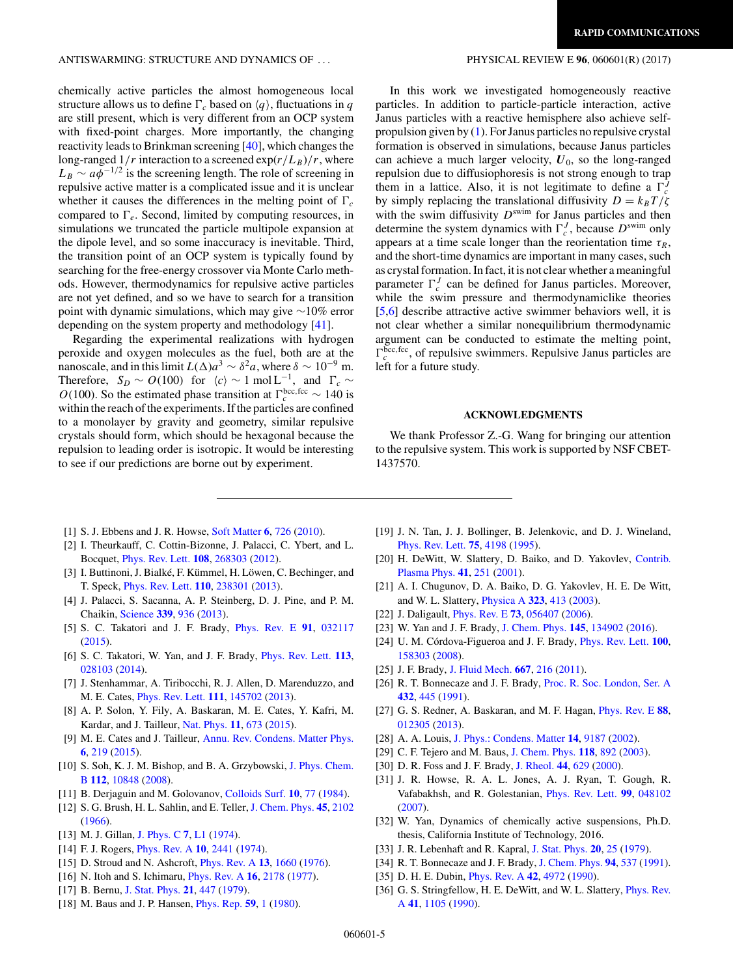## <span id="page-4-0"></span>ANTISWARMING: STRUCTURE AND DYNAMICS OF . . . PHYSICAL REVIEW E **96**, 060601(R) (2017)

chemically active particles the almost homogeneous local structure allows us to define  $\Gamma_c$  based on  $\langle q \rangle$ , fluctuations in *q* are still present, which is very different from an OCP system with fixed-point charges. More importantly, the changing reactivity leads to Brinkman screening [\[40\]](#page-5-0), which changes the long-ranged  $1/r$  interaction to a screened  $\exp(r/L_B)/r$ , where  $L_B \sim a\phi^{-1/2}$  is the screening length. The role of screening in repulsive active matter is a complicated issue and it is unclear whether it causes the differences in the melting point of  $\Gamma_c$ compared to  $\Gamma_e$ . Second, limited by computing resources, in simulations we truncated the particle multipole expansion at the dipole level, and so some inaccuracy is inevitable. Third, the transition point of an OCP system is typically found by searching for the free-energy crossover via Monte Carlo methods. However, thermodynamics for repulsive active particles are not yet defined, and so we have to search for a transition point with dynamic simulations, which may give  $\sim$ 10% error depending on the system property and methodology [\[41\]](#page-5-0).

Regarding the experimental realizations with hydrogen peroxide and oxygen molecules as the fuel, both are at the nanoscale, and in this limit  $L(\Delta)a^3 \sim \delta^2 a$ , where  $\delta \sim 10^{-9}$  m. Therefore,  $S_D \sim O(100)$  for  $\langle c \rangle \sim 1 \text{ mol } L^{-1}$ , and  $\Gamma_c \sim$ *O*(100). So the estimated phase transition at  $\Gamma_c^{\text{bcc,fcc}} \sim 140$  is within the reach of the experiments. If the particles are confined to a monolayer by gravity and geometry, similar repulsive crystals should form, which should be hexagonal because the repulsion to leading order is isotropic. It would be interesting to see if our predictions are borne out by experiment.

In this work we investigated homogeneously reactive particles. In addition to particle-particle interaction, active Janus particles with a reactive hemisphere also achieve selfpropulsion given by [\(1\)](#page-0-0). For Janus particles no repulsive crystal formation is observed in simulations, because Janus particles can achieve a much larger velocity,  $U_0$ , so the long-ranged repulsion due to diffusiophoresis is not strong enough to trap them in a lattice. Also, it is not legitimate to define a  $\Gamma_c^j$ by simply replacing the translational diffusivity  $D = k_B T / \zeta$ with the swim diffusivity  $D^{\text{swim}}$  for Janus particles and then determine the system dynamics with  $\Gamma_c^J$ , because  $D^{\text{swim}}$  only appears at a time scale longer than the reorientation time  $\tau_R$ , and the short-time dynamics are important in many cases, such as crystal formation. In fact, it is not clear whether a meaningful parameter  $\Gamma_c^J$  can be defined for Janus particles. Moreover, while the swim pressure and thermodynamiclike theories [5,6] describe attractive active swimmer behaviors well, it is not clear whether a similar nonequilibrium thermodynamic argument can be conducted to estimate the melting point,  $\Gamma_c^{\text{bcc,fcc}}$ , of repulsive swimmers. Repulsive Janus particles are left for a future study.

#### **ACKNOWLEDGMENTS**

We thank Professor Z.-G. Wang for bringing our attention to the repulsive system. This work is supported by NSF CBET-1437570.

- [1] S. J. Ebbens and J. R. Howse, [Soft Matter](https://doi.org/10.1039/b918598d) **[6](https://doi.org/10.1039/b918598d)**, [726](https://doi.org/10.1039/b918598d) [\(2010\)](https://doi.org/10.1039/b918598d).
- [2] I. Theurkauff, C. Cottin-Bizonne, J. Palacci, C. Ybert, and L. Bocquet, [Phys. Rev. Lett.](https://doi.org/10.1103/PhysRevLett.108.268303) **[108](https://doi.org/10.1103/PhysRevLett.108.268303)**, [268303](https://doi.org/10.1103/PhysRevLett.108.268303) [\(2012\)](https://doi.org/10.1103/PhysRevLett.108.268303).
- [3] I. Buttinoni, J. Bialké, F. Kümmel, H. Löwen, C. Bechinger, and T. Speck, [Phys. Rev. Lett.](https://doi.org/10.1103/PhysRevLett.110.238301) **[110](https://doi.org/10.1103/PhysRevLett.110.238301)**, [238301](https://doi.org/10.1103/PhysRevLett.110.238301) [\(2013\)](https://doi.org/10.1103/PhysRevLett.110.238301).
- [4] J. Palacci, S. Sacanna, A. P. Steinberg, D. J. Pine, and P. M. Chaikin, [Science](https://doi.org/10.1126/science.1230020) **[339](https://doi.org/10.1126/science.1230020)**, [936](https://doi.org/10.1126/science.1230020) [\(2013\)](https://doi.org/10.1126/science.1230020).
- [5] S. C. Takatori and J. F. Brady, [Phys. Rev. E](https://doi.org/10.1103/PhysRevE.91.032117) **[91](https://doi.org/10.1103/PhysRevE.91.032117)**, [032117](https://doi.org/10.1103/PhysRevE.91.032117) [\(2015\)](https://doi.org/10.1103/PhysRevE.91.032117).
- [6] S. C. Takatori, W. Yan, and J. F. Brady, [Phys. Rev. Lett.](https://doi.org/10.1103/PhysRevLett.113.028103) **[113](https://doi.org/10.1103/PhysRevLett.113.028103)**, [028103](https://doi.org/10.1103/PhysRevLett.113.028103) [\(2014\)](https://doi.org/10.1103/PhysRevLett.113.028103).
- [7] J. Stenhammar, A. Tiribocchi, R. J. Allen, D. Marenduzzo, and M. E. Cates, [Phys. Rev. Lett.](https://doi.org/10.1103/PhysRevLett.111.145702) **[111](https://doi.org/10.1103/PhysRevLett.111.145702)**, [145702](https://doi.org/10.1103/PhysRevLett.111.145702) [\(2013\)](https://doi.org/10.1103/PhysRevLett.111.145702).
- [8] A. P. Solon, Y. Fily, A. Baskaran, M. E. Cates, Y. Kafri, M. Kardar, and J. Tailleur, [Nat. Phys.](https://doi.org/10.1038/nphys3377) **[11](https://doi.org/10.1038/nphys3377)**, [673](https://doi.org/10.1038/nphys3377) [\(2015\)](https://doi.org/10.1038/nphys3377).
- [9] M. E. Cates and J. Tailleur, [Annu. Rev. Condens. Matter Phys.](https://doi.org/10.1146/annurev-conmatphys-031214-014710) **[6](https://doi.org/10.1146/annurev-conmatphys-031214-014710)**, [219](https://doi.org/10.1146/annurev-conmatphys-031214-014710) [\(2015\)](https://doi.org/10.1146/annurev-conmatphys-031214-014710).
- [10] [S. Soh, K. J. M. Bishop, and B. A. Grzybowski,](https://doi.org/10.1021/jp7111457) J. Phys. Chem. B **[112](https://doi.org/10.1021/jp7111457)**, [10848](https://doi.org/10.1021/jp7111457) [\(2008\)](https://doi.org/10.1021/jp7111457).
- [11] B. Derjaguin and M. Golovanov, [Colloids Surf.](https://doi.org/10.1016/0166-6622(84)80009-8) **[10](https://doi.org/10.1016/0166-6622(84)80009-8)**, [77](https://doi.org/10.1016/0166-6622(84)80009-8) [\(1984\)](https://doi.org/10.1016/0166-6622(84)80009-8).
- [12] S. G. Brush, H. L. Sahlin, and E. Teller, [J. Chem. Phys.](https://doi.org/10.1063/1.1727895) **[45](https://doi.org/10.1063/1.1727895)**, [2102](https://doi.org/10.1063/1.1727895) [\(1966\)](https://doi.org/10.1063/1.1727895).
- [13] M. J. Gillan, [J. Phys. C](https://doi.org/10.1088/0022-3719/7/1/001) **[7](https://doi.org/10.1088/0022-3719/7/1/001)**, [L1](https://doi.org/10.1088/0022-3719/7/1/001) [\(1974\)](https://doi.org/10.1088/0022-3719/7/1/001).
- [14] F. J. Rogers, [Phys. Rev. A](https://doi.org/10.1103/PhysRevA.10.2441) **[10](https://doi.org/10.1103/PhysRevA.10.2441)**, [2441](https://doi.org/10.1103/PhysRevA.10.2441) [\(1974\)](https://doi.org/10.1103/PhysRevA.10.2441).
- [15] D. Stroud and N. Ashcroft, [Phys. Rev. A](https://doi.org/10.1103/PhysRevA.13.1660) **[13](https://doi.org/10.1103/PhysRevA.13.1660)**, [1660](https://doi.org/10.1103/PhysRevA.13.1660) [\(1976\)](https://doi.org/10.1103/PhysRevA.13.1660).
- [16] N. Itoh and S. Ichimaru, [Phys. Rev. A](https://doi.org/10.1103/PhysRevA.16.2178) **[16](https://doi.org/10.1103/PhysRevA.16.2178)**, [2178](https://doi.org/10.1103/PhysRevA.16.2178) [\(1977\)](https://doi.org/10.1103/PhysRevA.16.2178).
- [17] B. Bernu, [J. Stat. Phys.](https://doi.org/10.1007/BF01009611) **[21](https://doi.org/10.1007/BF01009611)**, [447](https://doi.org/10.1007/BF01009611) [\(1979\)](https://doi.org/10.1007/BF01009611).
- [18] M. Baus and J. P. Hansen, [Phys. Rep.](https://doi.org/10.1016/0370-1573(80)90022-8) **[59](https://doi.org/10.1016/0370-1573(80)90022-8)**, [1](https://doi.org/10.1016/0370-1573(80)90022-8) [\(1980\)](https://doi.org/10.1016/0370-1573(80)90022-8).
- [19] J. N. Tan, J. J. Bollinger, B. Jelenkovic, and D. J. Wineland, [Phys. Rev. Lett.](https://doi.org/10.1103/PhysRevLett.75.4198) **[75](https://doi.org/10.1103/PhysRevLett.75.4198)**, [4198](https://doi.org/10.1103/PhysRevLett.75.4198) [\(1995\)](https://doi.org/10.1103/PhysRevLett.75.4198).
- [20] [H. DeWitt, W. Slattery, D. Baiko, and D. Yakovlev,](https://doi.org/10.1002/1521-3986(200103)41:2/3<251::AID-CTPP251>3.0.CO;2-G) Contrib. Plasma Phys. **[41](https://doi.org/10.1002/1521-3986(200103)41:2/3<251::AID-CTPP251>3.0.CO;2-G)**, [251](https://doi.org/10.1002/1521-3986(200103)41:2/3<251::AID-CTPP251>3.0.CO;2-G) [\(2001\)](https://doi.org/10.1002/1521-3986(200103)41:2/3<251::AID-CTPP251>3.0.CO;2-G).
- [21] A. I. Chugunov, D. A. Baiko, D. G. Yakovlev, H. E. De Witt, and W. L. Slattery, [Physica A](https://doi.org/10.1016/S0378-4371(02)02027-7) **[323](https://doi.org/10.1016/S0378-4371(02)02027-7)**, [413](https://doi.org/10.1016/S0378-4371(02)02027-7) [\(2003\)](https://doi.org/10.1016/S0378-4371(02)02027-7).
- [22] J. Daligault, [Phys. Rev. E](https://doi.org/10.1103/PhysRevE.73.056407) **[73](https://doi.org/10.1103/PhysRevE.73.056407)**, [056407](https://doi.org/10.1103/PhysRevE.73.056407) [\(2006\)](https://doi.org/10.1103/PhysRevE.73.056407).
- [23] W. Yan and J. F. Brady, [J. Chem. Phys.](https://doi.org/10.1063/1.4963722) **[145](https://doi.org/10.1063/1.4963722)**, [134902](https://doi.org/10.1063/1.4963722) [\(2016\)](https://doi.org/10.1063/1.4963722).
- [24] U. M. Córdova-Figueroa and J. F. Brady, [Phys. Rev. Lett.](https://doi.org/10.1103/PhysRevLett.100.158303) **[100](https://doi.org/10.1103/PhysRevLett.100.158303)**, [158303](https://doi.org/10.1103/PhysRevLett.100.158303) [\(2008\)](https://doi.org/10.1103/PhysRevLett.100.158303).
- [25] J. F. Brady, [J. Fluid Mech.](https://doi.org/10.1017/S0022112010004404) **[667](https://doi.org/10.1017/S0022112010004404)**, [216](https://doi.org/10.1017/S0022112010004404) [\(2011\)](https://doi.org/10.1017/S0022112010004404).
- [26] R. T. Bonnecaze and J. F. Brady, [Proc. R. Soc. London, Ser. A](https://doi.org/10.1098/rspa.1991.0025) **[432](https://doi.org/10.1098/rspa.1991.0025)**, [445](https://doi.org/10.1098/rspa.1991.0025) [\(1991\)](https://doi.org/10.1098/rspa.1991.0025).
- [27] G. S. Redner, A. Baskaran, and M. F. Hagan, [Phys. Rev. E](https://doi.org/10.1103/PhysRevE.88.012305) **[88](https://doi.org/10.1103/PhysRevE.88.012305)**, [012305](https://doi.org/10.1103/PhysRevE.88.012305) [\(2013\)](https://doi.org/10.1103/PhysRevE.88.012305).
- [28] A. A. Louis, [J. Phys.: Condens. Matter](https://doi.org/10.1088/0953-8984/14/40/311) **[14](https://doi.org/10.1088/0953-8984/14/40/311)**, [9187](https://doi.org/10.1088/0953-8984/14/40/311) [\(2002\)](https://doi.org/10.1088/0953-8984/14/40/311).
- [29] C. F. Tejero and M. Baus, [J. Chem. Phys.](https://doi.org/10.1063/1.1526837) **[118](https://doi.org/10.1063/1.1526837)**, [892](https://doi.org/10.1063/1.1526837) [\(2003\)](https://doi.org/10.1063/1.1526837).
- [30] D. R. Foss and J. F. Brady, [J. Rheol.](https://doi.org/10.1122/1.551104) **[44](https://doi.org/10.1122/1.551104)**, [629](https://doi.org/10.1122/1.551104) [\(2000\)](https://doi.org/10.1122/1.551104).
- [31] J. R. Howse, R. A. L. Jones, A. J. Ryan, T. Gough, R. Vafabakhsh, and R. Golestanian, [Phys. Rev. Lett.](https://doi.org/10.1103/PhysRevLett.99.048102) **[99](https://doi.org/10.1103/PhysRevLett.99.048102)**, [048102](https://doi.org/10.1103/PhysRevLett.99.048102) [\(2007\)](https://doi.org/10.1103/PhysRevLett.99.048102).
- [32] W. Yan, Dynamics of chemically active suspensions, Ph.D. thesis, California Institute of Technology, 2016.
- [33] J. R. Lebenhaft and R. Kapral, [J. Stat. Phys.](https://doi.org/10.1007/BF01013745) **[20](https://doi.org/10.1007/BF01013745)**, [25](https://doi.org/10.1007/BF01013745) [\(1979\)](https://doi.org/10.1007/BF01013745).
- [34] R. T. Bonnecaze and J. F. Brady, [J. Chem. Phys.](https://doi.org/10.1063/1.460372) **[94](https://doi.org/10.1063/1.460372)**, [537](https://doi.org/10.1063/1.460372) [\(1991\)](https://doi.org/10.1063/1.460372).
- [35] D. H. E. Dubin, [Phys. Rev. A](https://doi.org/10.1103/PhysRevA.42.4972) **[42](https://doi.org/10.1103/PhysRevA.42.4972)**, [4972](https://doi.org/10.1103/PhysRevA.42.4972) [\(1990\)](https://doi.org/10.1103/PhysRevA.42.4972).
- [36] [G. S. Stringfellow, H. E. DeWitt, and W. L. Slattery,](https://doi.org/10.1103/PhysRevA.41.1105) *Phys. Rev.* A **[41](https://doi.org/10.1103/PhysRevA.41.1105)**, [1105](https://doi.org/10.1103/PhysRevA.41.1105) [\(1990\)](https://doi.org/10.1103/PhysRevA.41.1105).